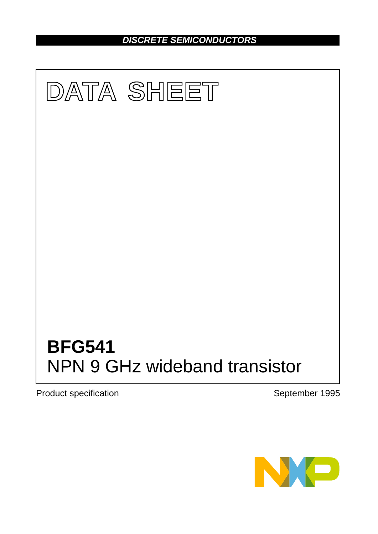*DISCRETE SEMICONDUCTORS*



Product specification **September 1995** 

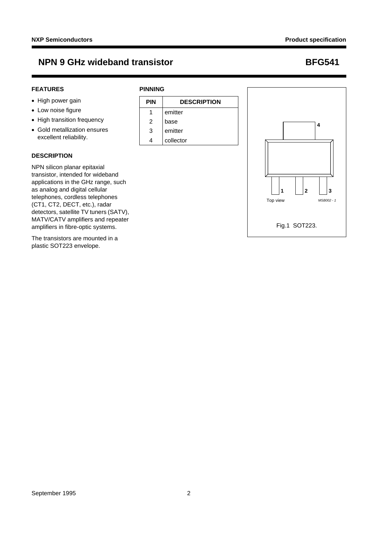### **FEATURES**

## • High power gain

- Low noise figure
- High transition frequency
- Gold metallization ensures excellent reliability.

### **DESCRIPTION**

NPN silicon planar epitaxial transistor, intended for wideband applications in the GHz range, such as analog and digital cellular telephones, cordless telephones (CT1, CT2, DECT, etc.), radar detectors, satellite TV tuners (SATV), MATV/CATV amplifiers and repeater amplifiers in fibre-optic systems.

The transistors are mounted in a plastic SOT223 envelope.

## **PINNING**





Fig.1 SOT223.

1 | |2 | |3 Top view *MSB002 - 1*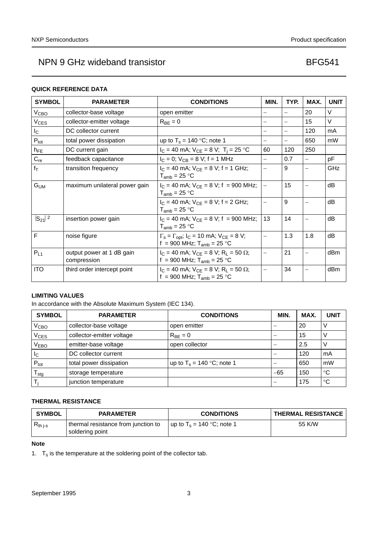### **QUICK REFERENCE DATA**

| <b>SYMBOL</b>    | <b>PARAMETER</b>                         | <b>CONDITIONS</b>                                                                                                     | MIN.                     | TYP.                     | MAX. | <b>UNIT</b>     |
|------------------|------------------------------------------|-----------------------------------------------------------------------------------------------------------------------|--------------------------|--------------------------|------|-----------------|
| V <sub>CBO</sub> | collector-base voltage                   | open emitter                                                                                                          |                          | $\overline{\phantom{0}}$ | 20   | $\vee$          |
| $V_{CES}$        | collector-emitter voltage                | $R_{BE} = 0$                                                                                                          |                          | $\overline{\phantom{0}}$ | 15   | $\vee$          |
| $I_{\rm C}$      | DC collector current                     |                                                                                                                       | $\overline{\phantom{0}}$ | $\overline{\phantom{0}}$ | 120  | mA              |
| $P_{\text{tot}}$ | total power dissipation                  | up to $T_s = 140$ °C; note 1                                                                                          |                          | $\overline{\phantom{0}}$ | 650  | mW              |
| $h_{FE}$         | DC current gain                          | $I_C = 40$ mA; $V_{CE} = 8$ V; T <sub>i</sub> = 25 °C                                                                 | 60                       | 120                      | 250  |                 |
| $C_{re}$         | feedback capacitance                     | $I_C = 0$ ; $V_{CB} = 8$ V; f = 1 MHz                                                                                 |                          | 0.7                      |      | рF              |
| $f_T$            | transition frequency                     | $I_C = 40$ mA; $V_{CE} = 8$ V; f = 1 GHz;<br>$T_{amb}$ = 25 °C                                                        | $\overline{\phantom{0}}$ | 9                        |      | <b>GHz</b>      |
| $G_{UM}$         | maximum unilateral power gain            | $I_C = 40$ mA; $V_{CF} = 8$ V; f = 900 MHz;<br>$T_{amb}$ = 25 °C                                                      | $\equiv$                 | 15                       |      | dB              |
|                  |                                          | $I_C = 40$ mA; $V_{CE} = 8$ V; f = 2 GHz;<br>$T_{amb}$ = 25 °C                                                        |                          | 9                        |      | dB              |
| $ S_{21} ^2$     | insertion power gain                     | $I_C = 40$ mA; $V_{CE} = 8$ V; f = 900 MHz;<br>$T_{amb}$ = 25 °C                                                      | 13                       | 14                       |      | dB              |
| F                | noise figure                             | $\Gamma_s = \Gamma_{\text{opt}}$ ; $I_C = 10 \text{ mA}$ ; $V_{CE} = 8 \text{ V}$ ;<br>f = 900 MHz; $T_{amb}$ = 25 °C | $\overline{\phantom{0}}$ | 1.3                      | 1.8  | dB              |
| $P_{L1}$         | output power at 1 dB gain<br>compression | $I_C = 40$ mA; $V_{CE} = 8$ V; R <sub>L</sub> = 50 $\Omega$ ;<br>f = 900 MHz; $T_{amb}$ = 25 °C                       |                          | 21                       |      | dBm             |
| ITO              | third order intercept point              | $I_C = 40$ mA; $V_{CE} = 8$ V; R <sub>L</sub> = 50 $\Omega$ ;<br>f = 900 MHz; $T_{amb}$ = 25 °C                       | $\overline{\phantom{0}}$ | 34                       |      | dB <sub>m</sub> |

## **LIMITING VALUES**

In accordance with the Absolute Maximum System (IEC 134).

| <b>SYMBOL</b>    | <b>PARAMETER</b>          | <b>CONDITIONS</b>            | MIN.                     | MAX. | <b>UNIT</b>     |
|------------------|---------------------------|------------------------------|--------------------------|------|-----------------|
| V <sub>CBO</sub> | collector-base voltage    | open emitter                 |                          | -20  |                 |
| $\rm V_{CES}$    | collector-emitter voltage | $R_{BF} = 0$                 |                          | 15   | V               |
| V <sub>EBO</sub> | emitter-base voltage      | open collector               |                          | 2.5  |                 |
| <sub>IC</sub>    | DC collector current      |                              |                          | 120  | mA              |
| $P_{\text{tot}}$ | total power dissipation   | up to $T_s = 140$ °C; note 1 |                          | 650  | mW              |
| stg              | storage temperature       |                              | $-65$                    | 150  | $^{\circ}C$     |
|                  | junction temperature      |                              | $\overline{\phantom{m}}$ | 175  | $\rm ^{\circ}C$ |

## **THERMAL RESISTANCE**

| <b>SYMBOL</b> | <b>PARAMETER</b>                                       | <b>CONDITIONS</b>                     | <b>THERMAL RESISTANCE</b> |
|---------------|--------------------------------------------------------|---------------------------------------|---------------------------|
| $R_{th}$ j-s  | thermal resistance from junction to<br>soldering point | up to T <sub>s</sub> = 140 °C; note 1 | 55 K/W                    |

### **Note**

<span id="page-2-0"></span>1.  $T_s$  is the temperature at the soldering point of the collector tab.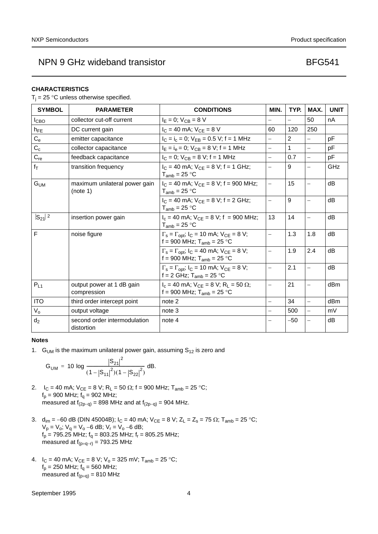### **CHARACTERISTICS**

 $T_i = 25$  °C unless otherwise specified.

| <b>SYMBOL</b>    | <b>PARAMETER</b>                           | <b>CONDITIONS</b>                                                                                          | MIN.                     | TYP.           | MAX.                     | <b>UNIT</b> |
|------------------|--------------------------------------------|------------------------------------------------------------------------------------------------------------|--------------------------|----------------|--------------------------|-------------|
| I <sub>СВО</sub> | collector cut-off current                  | $I_F = 0$ ; $V_{CB} = 8$ V                                                                                 | $\equiv$                 |                | 50                       | nA          |
| $h_{FE}$         | DC current gain                            | $I_C = 40$ mA; $V_{CE} = 8$ V                                                                              | 60                       | 120            | 250                      |             |
| $C_{e}$          | emitter capacitance                        | $I_C = I_c = 0$ ; $V_{EB} = 0.5$ V; f = 1 MHz                                                              | $\equiv$                 | 2              |                          | pF          |
| $C_c$            | collector capacitance                      | $I_E = I_e = 0$ ; $V_{CB} = 8$ V; f = 1 MHz                                                                | $\equiv$                 | 1              |                          | pF          |
| $C_{re}$         | feedback capacitance                       | $I_C = 0$ ; $V_{CB} = 8$ V; f = 1 MHz                                                                      | $\equiv$                 | 0.7            | $\overline{\phantom{0}}$ | pF          |
| $f_T$            | transition frequency                       | $I_C = 40$ mA; $V_{CF} = 8$ V; f = 1 GHz;<br>$T_{amb}$ = 25 °C                                             | $\equiv$                 | 9              | $\overline{\phantom{0}}$ | GHz         |
| $G_{UM}$         | maximum unilateral power gain<br>(note 1)  | $I_C = 40$ mA; $V_{CF} = 8$ V; f = 900 MHz;<br>$T_{amb}$ = 25 °C                                           | $\equiv$                 | 15             |                          | dB          |
|                  |                                            | $I_C = 40$ mA; $V_{CF} = 8$ V; f = 2 GHz;<br>$T_{amb}$ = 25 °C                                             | $\equiv$                 | $\overline{9}$ | $\overline{\phantom{0}}$ | dB          |
| $ S_{21} ^2$     | insertion power gain                       | $I_c = 40$ mA; $V_{CE} = 8$ V; f = 900 MHz;<br>$T_{amb}$ = 25 °C                                           | 13                       | 14             |                          | dB          |
| F                | noise figure                               | $\Gamma_s = \Gamma_{\text{opt}}$ ; $I_C = 10$ mA; $V_{\text{CE}} = 8$ V;<br>f = 900 MHz; $T_{amb}$ = 25 °C | $\equiv$                 | 1.3            | 1.8                      | dB          |
|                  |                                            | $\Gamma_s = \Gamma_{opt}$ ; $I_C = 40$ mA; $V_{CE} = 8$ V;<br>f = 900 MHz; $T_{amb}$ = 25 °C               | $\equiv$                 | 1.9            | 2.4                      | dB          |
|                  |                                            | $\Gamma_s = \Gamma_{\text{opt}}$ ; $I_C = 10$ mA; $V_{\text{CE}} = 8$ V;<br>f = 2 GHz; $T_{amb}$ = 25 °C   | $\overline{\phantom{0}}$ | 2.1            | $\qquad \qquad -$        | dB          |
| $P_{L1}$         | output power at 1 dB gain<br>compression   | $I_c = 40$ mA; $V_{CE} = 8$ V; R <sub>L</sub> = 50 $\Omega$ ;<br>f = 900 MHz; $T_{amb}$ = 25 °C            | $\overline{\phantom{0}}$ | 21             | $\overline{\phantom{0}}$ | dBm         |
| <b>ITO</b>       | third order intercept point                | note 2                                                                                                     | $\equiv$                 | 34             | $\equiv$                 | dBm         |
| $V_{o}$          | output voltage                             | note 3                                                                                                     |                          | 500            | $\overline{\phantom{0}}$ | mV          |
| $d_2$            | second order intermodulation<br>distortion | note 4                                                                                                     |                          | $-50$          | $\equiv$                 | dB          |

#### **Notes**

<span id="page-3-0"></span>1. G<sub>UM</sub> is the maximum unilateral power gain, assuming  $S_{12}$  is zero and

$$
G_{UM} = 10 \log \frac{|S_{21}|^2}{(1-|S_{11}|^2)(1-|S_{22}|^2)} \, dB.
$$

- <span id="page-3-1"></span>2.  $I_C = 40 \text{ mA}$ ;  $V_{CE} = 8 \text{ V}$ ;  $R_L = 50 \Omega$ ;  $f = 900 \text{ MHz}$ ;  $T_{amb} = 25 \text{ °C}$ ;  $f_p = 900$  MHz;  $f_q = 902$  MHz; measured at  $f_{(2p-q)} = 898$  MHz and at  $f_{(2p-q)} = 904$  MHz.
- <span id="page-3-2"></span>3.  $d_{im} = -60$  dB (DIN 45004B);  $I_C = 40$  mA;  $V_{CE} = 8$  V;  $Z_L = Z_s = 75 \Omega$ ;  $T_{amb} = 25 \degree C$ ;  $V_p = V_o$ ;  $V_q = V_o - 6$  dB;  $V_r = V_o - 6$  dB;  $f_p = 795.25$  MHz;  $f_q = 803.25$  MHz;  $f_r = 805.25$  MHz; measured at  $f_{(p+q-1)} = 793.25$  MHz
- <span id="page-3-3"></span>4.  $I_C = 40 \text{ mA}$ ;  $V_{CE} = 8 \text{ V}$ ;  $V_0 = 325 \text{ mV}$ ;  $T_{amb} = 25 \text{ °C}$ ;  $f_p = 250$  MHz;  $f_q = 560$  MHz; measured at  $f_{(p+q)} = 810$  MHz

September 1995 4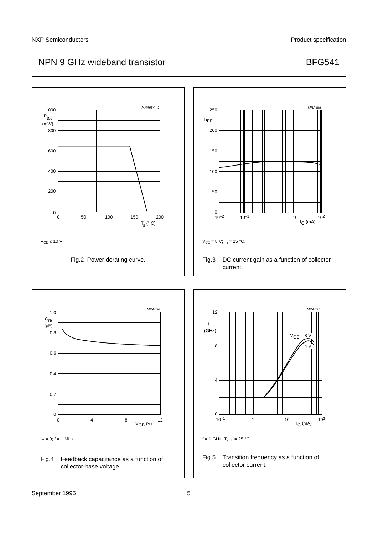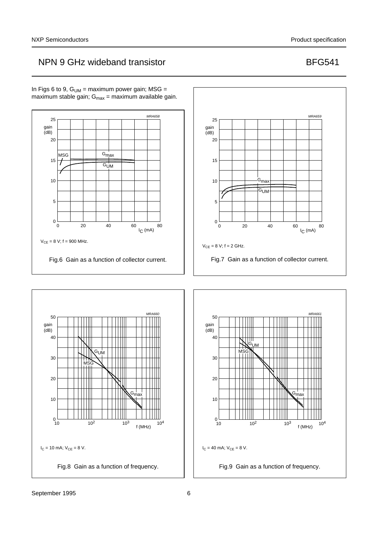<span id="page-5-1"></span><span id="page-5-0"></span>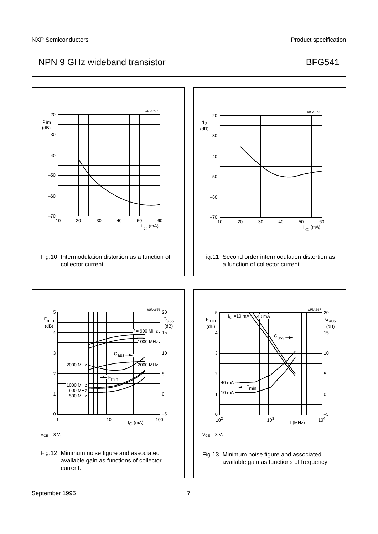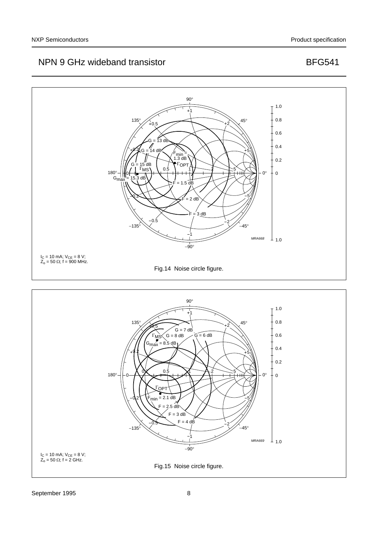

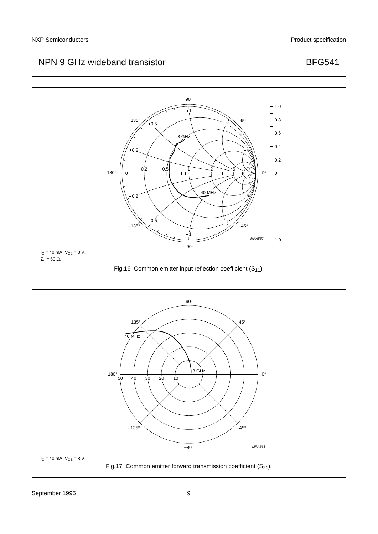

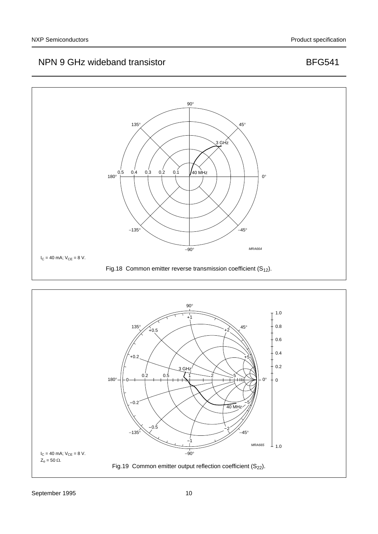

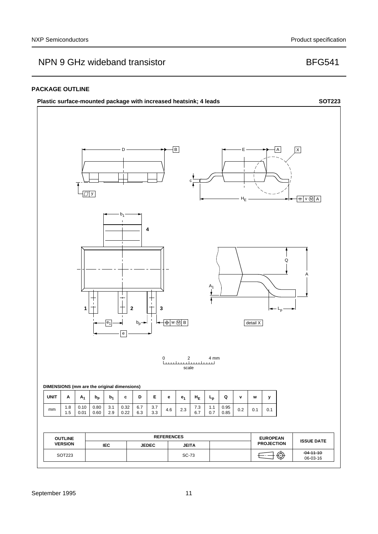### **PACKAGE OUTLINE**

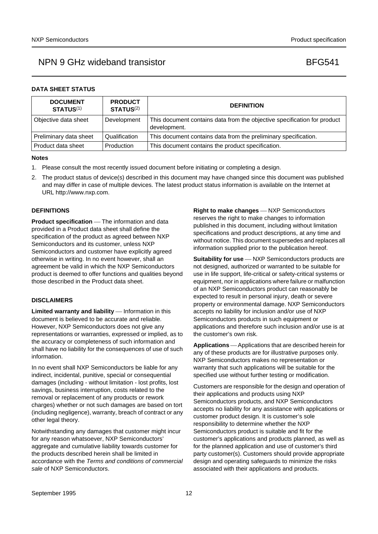|  |  | <b>DATA SHEET STATUS</b> |
|--|--|--------------------------|
|--|--|--------------------------|

| <b>DOCUMENT</b><br><b>STATUS(1)</b> | <b>PRODUCT</b><br><b>STATUS(2)</b> | <b>DEFINITION</b>                                                                        |
|-------------------------------------|------------------------------------|------------------------------------------------------------------------------------------|
| Objective data sheet                | Development                        | This document contains data from the objective specification for product<br>development. |
| Preliminary data sheet              | Qualification                      | This document contains data from the preliminary specification.                          |
| l Product data sheet                | Production                         | This document contains the product specification.                                        |

#### **Notes**

- <span id="page-11-0"></span>1. Please consult the most recently issued document before initiating or completing a design.
- <span id="page-11-1"></span>2. The product status of device(s) described in this document may have changed since this document was published and may differ in case of multiple devices. The latest product status information is available on the Internet at URL http://www.nxp.com.

### **DEFINITIONS**

**Product specification** — The information and data provided in a Product data sheet shall define the specification of the product as agreed between NXP Semiconductors and its customer, unless NXP Semiconductors and customer have explicitly agreed otherwise in writing. In no event however, shall an agreement be valid in which the NXP Semiconductors product is deemed to offer functions and qualities beyond those described in the Product data sheet.

#### **DISCLAIMERS**

**Limited warranty and liability** — Information in this document is believed to be accurate and reliable. However, NXP Semiconductors does not give any representations or warranties, expressed or implied, as to the accuracy or completeness of such information and shall have no liability for the consequences of use of such information.

In no event shall NXP Semiconductors be liable for any indirect, incidental, punitive, special or consequential damages (including - without limitation - lost profits, lost savings, business interruption, costs related to the removal or replacement of any products or rework charges) whether or not such damages are based on tort (including negligence), warranty, breach of contract or any other legal theory.

Notwithstanding any damages that customer might incur for any reason whatsoever, NXP Semiconductors' aggregate and cumulative liability towards customer for the products described herein shall be limited in accordance with the *Terms and conditions of commercial sale* of NXP Semiconductors.

**Right to make changes** - NXP Semiconductors reserves the right to make changes to information published in this document, including without limitation specifications and product descriptions, at any time and without notice. This document supersedes and replaces all information supplied prior to the publication hereof.

**Suitability for use** - NXP Semiconductors products are not designed, authorized or warranted to be suitable for use in life support, life-critical or safety-critical systems or equipment, nor in applications where failure or malfunction of an NXP Semiconductors product can reasonably be expected to result in personal injury, death or severe property or environmental damage. NXP Semiconductors accepts no liability for inclusion and/or use of NXP Semiconductors products in such equipment or applications and therefore such inclusion and/or use is at the customer's own risk.

**Applications** — Applications that are described herein for any of these products are for illustrative purposes only. NXP Semiconductors makes no representation or warranty that such applications will be suitable for the specified use without further testing or modification.

Customers are responsible for the design and operation of their applications and products using NXP Semiconductors products, and NXP Semiconductors accepts no liability for any assistance with applications or customer product design. It is customer's sole responsibility to determine whether the NXP Semiconductors product is suitable and fit for the customer's applications and products planned, as well as for the planned application and use of customer's third party customer(s). Customers should provide appropriate design and operating safeguards to minimize the risks associated with their applications and products.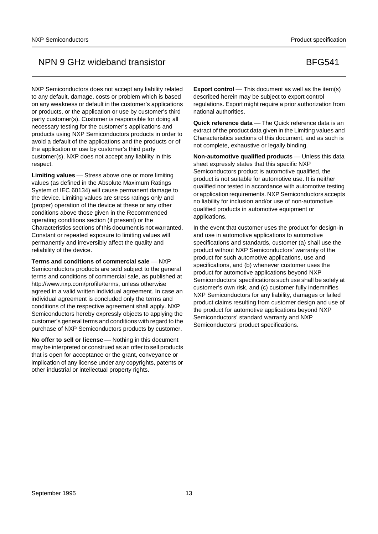NXP Semiconductors does not accept any liability related to any default, damage, costs or problem which is based on any weakness or default in the customer's applications or products, or the application or use by customer's third party customer(s). Customer is responsible for doing all necessary testing for the customer's applications and products using NXP Semiconductors products in order to avoid a default of the applications and the products or of the application or use by customer's third party customer(s). NXP does not accept any liability in this respect.

Limiting values Stress above one or more limiting values (as defined in the Absolute Maximum Ratings System of IEC 60134) will cause permanent damage to the device. Limiting values are stress ratings only and (proper) operation of the device at these or any other conditions above those given in the Recommended operating conditions section (if present) or the Characteristics sections of this document is not warranted. Constant or repeated exposure to limiting values will permanently and irreversibly affect the quality and reliability of the device.

**Terms and conditions of commercial sale – NXP** Semiconductors products are sold subject to the general terms and conditions of commercial sale, as published at http://www.nxp.com/profile/terms, unless otherwise agreed in a valid written individual agreement. In case an individual agreement is concluded only the terms and conditions of the respective agreement shall apply. NXP Semiconductors hereby expressly objects to applying the customer's general terms and conditions with regard to the purchase of NXP Semiconductors products by customer.

**No offer to sell or license** — Nothing in this document may be interpreted or construed as an offer to sell products that is open for acceptance or the grant, conveyance or implication of any license under any copyrights, patents or other industrial or intellectual property rights.

**Export control** — This document as well as the item(s) described herein may be subject to export control regulations. Export might require a prior authorization from national authorities.

**Quick reference data** — The Quick reference data is an extract of the product data given in the Limiting values and Characteristics sections of this document, and as such is not complete, exhaustive or legally binding.

**Non-automotive qualified products** — Unless this data sheet expressly states that this specific NXP Semiconductors product is automotive qualified, the product is not suitable for automotive use. It is neither qualified nor tested in accordance with automotive testing or application requirements. NXP Semiconductors accepts no liability for inclusion and/or use of non-automotive qualified products in automotive equipment or applications.

In the event that customer uses the product for design-in and use in automotive applications to automotive specifications and standards, customer (a) shall use the product without NXP Semiconductors' warranty of the product for such automotive applications, use and specifications, and (b) whenever customer uses the product for automotive applications beyond NXP Semiconductors' specifications such use shall be solely at customer's own risk, and (c) customer fully indemnifies NXP Semiconductors for any liability, damages or failed product claims resulting from customer design and use of the product for automotive applications beyond NXP Semiconductors' standard warranty and NXP Semiconductors' product specifications.